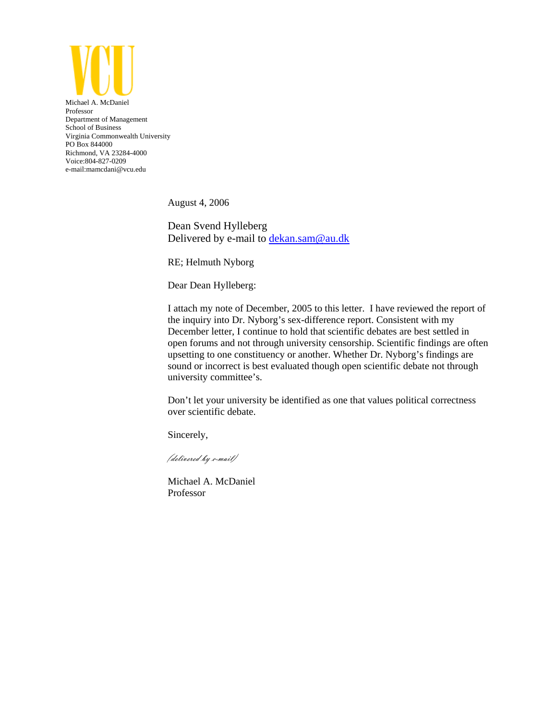

Michael A. McDaniel Professor Department of Management School of Business Virginia Commonwealth University PO Box 844000 Richmond, VA 23284-4000 Voice:804-827-0209 e-mail:mamcdani@vcu.edu

August 4, 2006

Dean Svend Hylleberg Delivered by e-mail to dekan.sam@au.dk

RE; Helmuth Nyborg

Dear Dean Hylleberg:

I attach my note of December, 2005 to this letter. I have reviewed the report of the inquiry into Dr. Nyborg's sex-difference report. Consistent with my December letter, I continue to hold that scientific debates are best settled in open forums and not through university censorship. Scientific findings are often upsetting to one constituency or another. Whether Dr. Nyborg's findings are sound or incorrect is best evaluated though open scientific debate not through university committee's.

Don't let your university be identified as one that values political correctness over scientific debate.

Sincerely,

(delivered by e-mail)

Michael A. McDaniel Professor